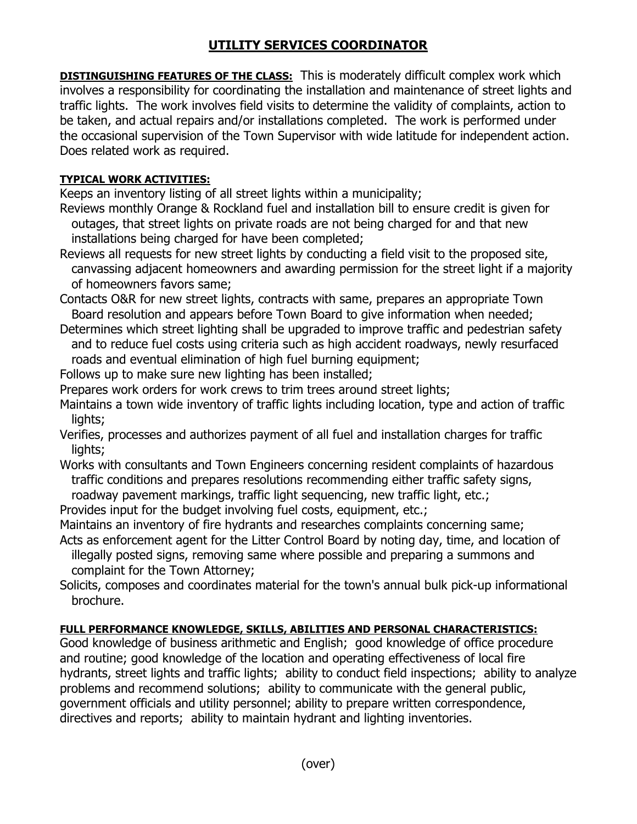## **UTILITY SERVICES COORDINATOR**

**DISTINGUISHING FEATURES OF THE CLASS:** This is moderately difficult complex work which involves a responsibility for coordinating the installation and maintenance of street lights and traffic lights. The work involves field visits to determine the validity of complaints, action to be taken, and actual repairs and/or installations completed. The work is performed under the occasional supervision of the Town Supervisor with wide latitude for independent action. Does related work as required.

## **TYPICAL WORK ACTIVITIES:**

Keeps an inventory listing of all street lights within a municipality;

- Reviews monthly Orange & Rockland fuel and installation bill to ensure credit is given for outages, that street lights on private roads are not being charged for and that new installations being charged for have been completed;
- Reviews all requests for new street lights by conducting a field visit to the proposed site, canvassing adjacent homeowners and awarding permission for the street light if a majority of homeowners favors same;
- Contacts O&R for new street lights, contracts with same, prepares an appropriate Town Board resolution and appears before Town Board to give information when needed;
- Determines which street lighting shall be upgraded to improve traffic and pedestrian safety and to reduce fuel costs using criteria such as high accident roadways, newly resurfaced roads and eventual elimination of high fuel burning equipment;
- Follows up to make sure new lighting has been installed;
- Prepares work orders for work crews to trim trees around street lights;
- Maintains a town wide inventory of traffic lights including location, type and action of traffic lights;
- Verifies, processes and authorizes payment of all fuel and installation charges for traffic lights;
- Works with consultants and Town Engineers concerning resident complaints of hazardous traffic conditions and prepares resolutions recommending either traffic safety signs, roadway pavement markings, traffic light sequencing, new traffic light, etc.;
- Provides input for the budget involving fuel costs, equipment, etc.;
- Maintains an inventory of fire hydrants and researches complaints concerning same;
- Acts as enforcement agent for the Litter Control Board by noting day, time, and location of illegally posted signs, removing same where possible and preparing a summons and complaint for the Town Attorney;
- Solicits, composes and coordinates material for the town's annual bulk pick-up informational brochure.

## **FULL PERFORMANCE KNOWLEDGE, SKILLS, ABILITIES AND PERSONAL CHARACTERISTICS:**

Good knowledge of business arithmetic and English; good knowledge of office procedure and routine; good knowledge of the location and operating effectiveness of local fire hydrants, street lights and traffic lights; ability to conduct field inspections; ability to analyze problems and recommend solutions; ability to communicate with the general public, government officials and utility personnel; ability to prepare written correspondence, directives and reports; ability to maintain hydrant and lighting inventories.